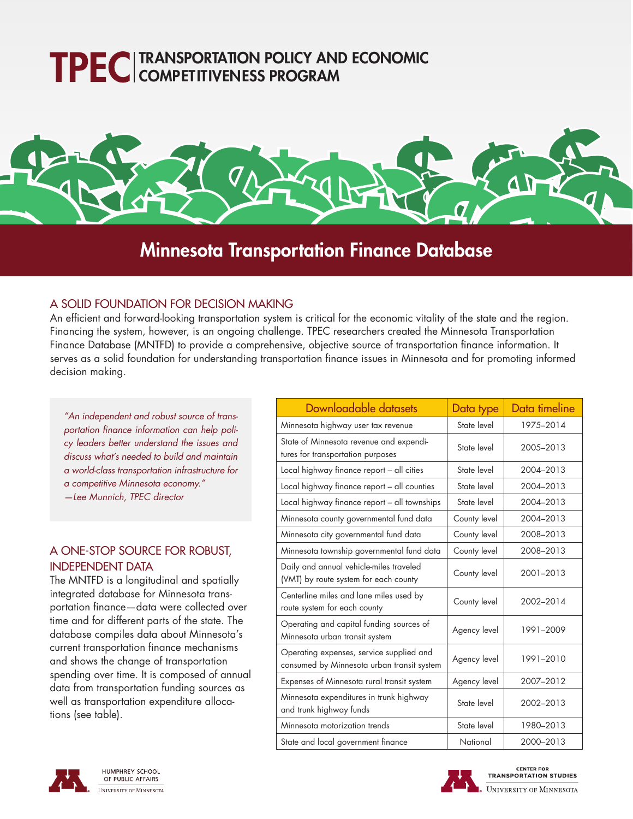# TRANSPORTATION POLICY AND ECONOMIC COMPETITIVENESS PROGRAM



# Minnesota Transportation Finance Database

## A SOLID FOUNDATION FOR DECISION MAKING

An efficient and forward-looking transportation system is critical for the economic vitality of the state and the region. Financing the system, however, is an ongoing challenge. TPEC researchers created the Minnesota Transportation Finance Database (MNTFD) to provide a comprehensive, objective source of transportation finance information. It serves as a solid foundation for understanding transportation finance issues in Minnesota and for promoting informed decision making.

*"An independent and robust source of transportation finance information can help policy leaders better understand the issues and discuss what's needed to build and maintain a world-class transportation infrastructure for a competitive Minnesota economy." —Lee Munnich, TPEC director*

# A ONE-STOP SOURCE FOR ROBUST, INDEPENDENT DATA

The MNTFD is a longitudinal and spatially integrated database for Minnesota transportation finance—data were collected over time and for different parts of the state. The database compiles data about Minnesota's current transportation finance mechanisms and shows the change of transportation spending over time. It is composed of annual data from transportation funding sources as well as transportation expenditure allocations (see table).

| Downloadable datasets                                                                  | Data type    | Data timeline |
|----------------------------------------------------------------------------------------|--------------|---------------|
| Minnesota highway user tax revenue                                                     | State level  | 1975-2014     |
| State of Minnesota revenue and expendi-<br>tures for transportation purposes           | State level  | 2005-2013     |
| Local highway finance report - all cities                                              | State level  | 2004-2013     |
| Local highway finance report - all counties                                            | State level  | 2004-2013     |
| Local highway finance report - all townships                                           | State level  | 2004-2013     |
| Minnesota county governmental fund data                                                | County level | 2004-2013     |
| Minnesota city governmental fund data                                                  | County level | 2008-2013     |
| Minnesota township governmental fund data                                              | County level | 2008-2013     |
| Daily and annual vehicle-miles traveled<br>(VMT) by route system for each county       | County level | 2001-2013     |
| Centerline miles and lane miles used by<br>route system for each county                | County level | 2002-2014     |
| Operating and capital funding sources of<br>Minnesota urban transit system             | Agency level | 1991-2009     |
| Operating expenses, service supplied and<br>consumed by Minnesota urban transit system | Agency level | 1991-2010     |
| Expenses of Minnesota rural transit system                                             | Agency level | 2007-2012     |
| Minnesota expenditures in trunk highway<br>and trunk highway funds                     | State level  | 2002-2013     |
| Minnesota motorization trends                                                          | State level  | 1980-2013     |
| State and local government finance                                                     | National     | 2000-2013     |



HUMPHREY SCHOOL OF PUBLIC AFFAIRS .<br>University of Minnesota